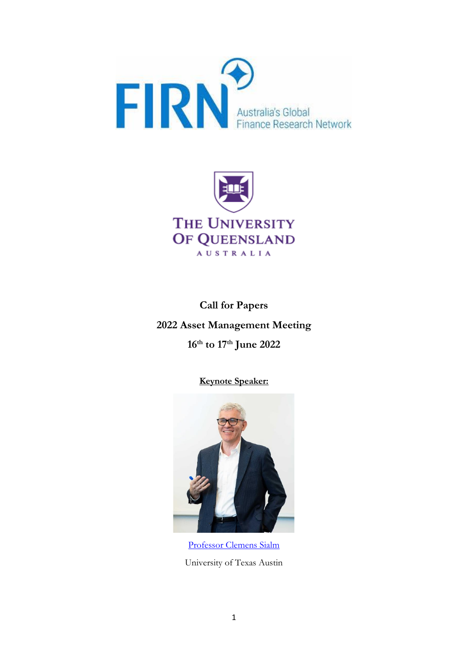



**Call for Papers 2022 Asset Management Meeting 16th to 17th June 2022**

**Keynote Speaker:**



[Professor Clemens Sialm](https://faculty.mccombs.utexas.edu/clemens.sialm/) University of Texas Austin